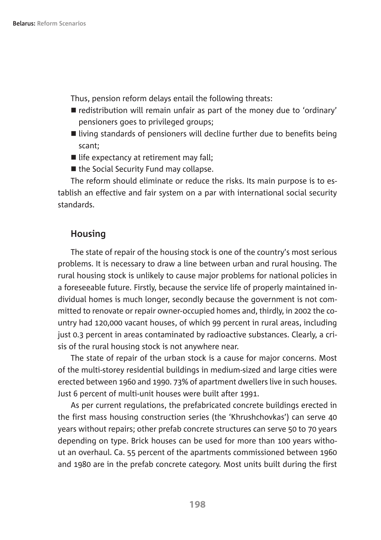Thus, pension reform delays entail the following threats:

- $\blacksquare$  redistribution will remain unfair as part of the money due to 'ordinary' pensioners goes to privileged groups;
- $\blacksquare$  living standards of pensioners will decline further due to benefits being scant;
- $\blacksquare$  life expectancy at retirement may fall;
- $\blacksquare$  the Social Security Fund may collapse.

The reform should eliminate or reduce the risks. Its main purpose is to establish an effective and fair system on a par with international social security standards.

## **Housing**

The state of repair of the housing stock is one of the country's most serious problems. It is necessary to draw a line between urban and rural housing. The rural housing stock is unlikely to cause major problems for national policies in a foreseeable future. Firstly, because the service life of properly maintained individual homes is much longer, secondly because the government is not committed to renovate or repair owner-occupied homes and, thirdly, in 2002 the country had 120,000 vacant houses, of which 99 percent in rural areas, including just 0.3 percent in areas contaminated by radioactive substances. Clearly, a crisis of the rural housing stock is not anywhere near.

The state of repair of the urban stock is a cause for major concerns. Most of the multi-storey residential buildings in medium-sized and large cities were erected between 1960 and 1990. 73% of apartment dwellers live in such houses. Just 6 percent of multi-unit houses were built after 1991.

As per current regulations, the prefabricated concrete buildings erected in the first mass housing construction series (the 'Khrushchovkas') can serve 40 years without repairs; other prefab concrete structures can serve 50 to 70 years depending on type. Brick houses can be used for more than 100 years without an overhaul. Ca. 55 percent of the apartments commissioned between 1960 and 1980 are in the prefab concrete category. Most units built during the first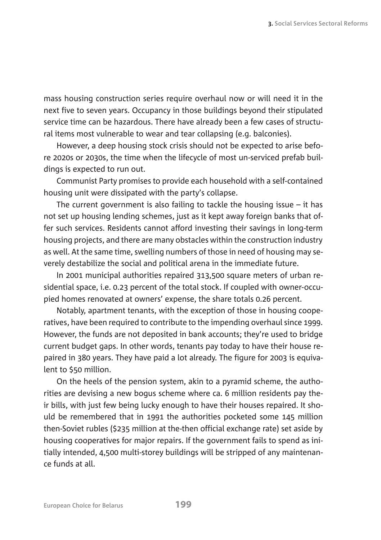mass housing construction series require overhaul now or will need it in the next five to seven years. Occupancy in those buildings beyond their stipulated service time can be hazardous. There have already been a few cases of structural items most vulnerable to wear and tear collapsing (e.g. balconies).

However, a deep housing stock crisis should not be expected to arise before 2020s or 2030s, the time when the lifecycle of most un-serviced prefab buildings is expected to run out.

Communist Party promises to provide each household with a self-contained housing unit were dissipated with the party's collapse.

The current government is also failing to tackle the housing issue  $-$  it has not set up housing lending schemes, just as it kept away foreign banks that offer such services. Residents cannot afford investing their savings in long-term housing projects, and there are many obstacles within the construction industry as well. At the same time, swelling numbers of those in need of housing may severely destabilize the social and political arena in the immediate future.

In 2001 municipal authorities repaired 313,500 square meters of urban residential space, i.e. 0.23 percent of the total stock. If coupled with owner-occupied homes renovated at owners' expense, the share totals 0.26 percent.

Notably, apartment tenants, with the exception of those in housing cooperatives, have been required to contribute to the impending overhaul since 1999. However, the funds are not deposited in bank accounts; they're used to bridge current budget gaps. In other words, tenants pay today to have their house repaired in 380 years. They have paid a lot already. The figure for 2003 is equivalent to \$50 million.

On the heels of the pension system, akin to a pyramid scheme, the authorities are devising a new bogus scheme where ca. 6 million residents pay their bills, with just few being lucky enough to have their houses repaired. It should be remembered that in 1991 the authorities pocketed some 145 million then-Soviet rubles (\$235 million at the-then official exchange rate) set aside by housing cooperatives for major repairs. If the government fails to spend as initially intended, 4,500 multi-storey buildings will be stripped of any maintenance funds at all.